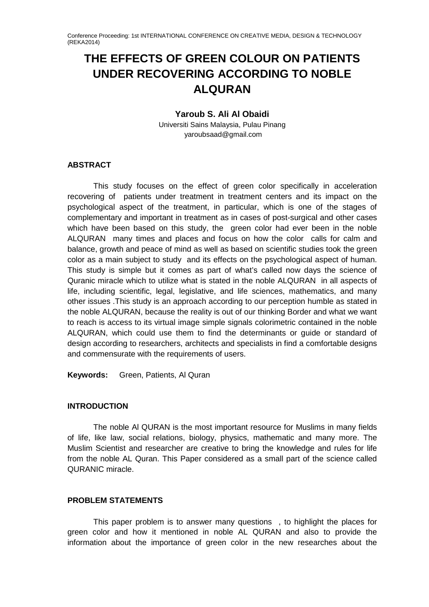# **THE EFFECTS OF GREEN COLOUR ON PATIENTS UNDER RECOVERING ACCORDING TO NOBLE ALQURAN**

#### **Yaroub S. Ali Al Obaidi**

Universiti Sains Malaysia, Pulau Pinang yaroubsaad@gmail.com

## **ABSTRACT**

This study focuses on the effect of green color specifically in acceleration recovering of patients under treatment in treatment centers and its impact on the psychological aspect of the treatment, in particular, which is one of the stages of complementary and important in treatment as in cases of post-surgical and other cases which have been based on this study, the green color had ever been in the noble ALQURAN many times and places and focus on how the color calls for calm and balance, growth and peace of mind as well as based on scientific studies took the green color as a main subject to study and its effects on the psychological aspect of human. This study is simple but it comes as part of what's called now days the science of Quranic miracle which to utilize what is stated in the noble ALQURAN in all aspects of life, including scientific, legal, legislative, and life sciences, mathematics, and many other issues .This study is an approach according to our perception humble as stated in the noble ALQURAN, because the reality is out of our thinking Border and what we want to reach is access to its virtual image simple signals colorimetric contained in the noble ALQURAN, which could use them to find the determinants or guide or standard of design according to researchers, architects and specialists in find a comfortable designs and commensurate with the requirements of users.

**Keywords:** Green, Patients, Al Quran

## **INTRODUCTION**

The noble Al QURAN is the most important resource for Muslims in many fields of life, like law, social relations, biology, physics, mathematic and many more. The Muslim Scientist and researcher are creative to bring the knowledge and rules for life from the noble AL Quran. This Paper considered as a small part of the science called QURANIC miracle.

## **PROBLEM STATEMENTS**

This paper problem is to answer many questions , to highlight the places for green color and how it mentioned in noble AL QURAN and also to provide the information about the importance of green color in the new researches about the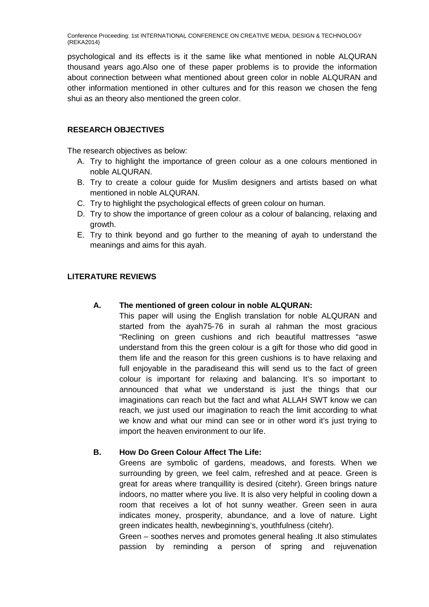psychological and its effects is it the same like what mentioned in noble ALQURAN thousand years ago.Also one of these paper problems is to provide the information about connection between what mentioned about green color in noble ALQURAN and other information mentioned in other cultures and for this reason we chosen the feng shui as an theory also mentioned the green color.

## **RESEARCH OBJECTIVES**

The research objectives as below:

- A. Try to highlight the importance of green colour as a one colours mentioned in noble ALQURAN.
- B. Try to create a colour guide for Muslim designers and artists based on what mentioned in noble ALQURAN.
- C. Try to highlight the psychological effects of green colour on human.
- D. Try to show the importance of green colour as a colour of balancing, relaxing and growth.
- E. Try to think beyond and go further to the meaning of ayah to understand the meanings and aims for this ayah.

## **LITERATURE REVIEWS**

## **A. The mentioned of green colour in noble ALQURAN:**

This paper will using the English translation for noble ALQURAN and started from the ayah75-76 in surah al rahman the most gracious "Reclining on green cushions and rich beautiful mattresses "aswe understand from this the green colour is a gift for those who did good in them life and the reason for this green cushions is to have relaxing and full enjoyable in the paradiseand this will send us to the fact of green colour is important for relaxing and balancing. It's so important to announced that what we understand is just the things that our imaginations can reach but the fact and what ALLAH SWT know we can reach, we just used our imagination to reach the limit according to what we know and what our mind can see or in other word it's just trying to import the heaven environment to our life.

## **B. How Do Green Colour Affect The Life:**

Greens are symbolic of gardens, meadows, and forests. When we surrounding by green, we feel calm, refreshed and at peace. Green is great for areas where tranquillity is desired (citehr). Green brings nature indoors, no matter where you live. It is also very helpful in cooling down a room that receives a lot of hot sunny weather. Green seen in aura indicates money, prosperity, abundance, and a love of nature. Light green indicates health, newbeginning's, youthfulness (citehr).

Green – soothes nerves and promotes general healing .It also stimulates passion by reminding a person of spring and rejuvenation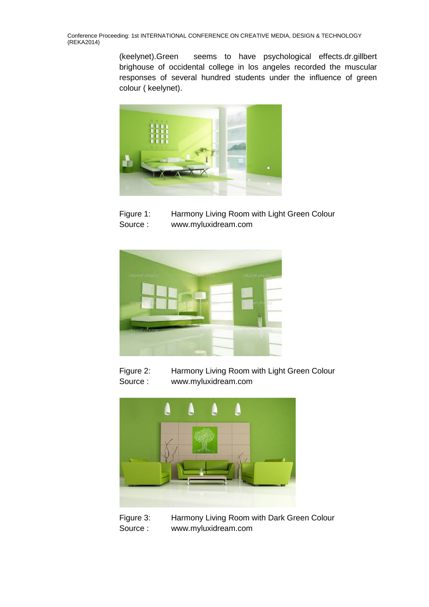> (keelynet).Green seems to have psychological effects.dr.gillbert brighouse of occidental college in los angeles recorded the muscular responses of several hundred students under the influence of green colour ( keelynet).



Figure 1: Harmony Living Room with Light Green Colour Source : www.myluxidream.com



Figure 2: Harmony Living Room with Light Green Colour Source : www.myluxidream.com



Figure 3: Harmony Living Room with Dark Green Colour Source : www.myluxidream.com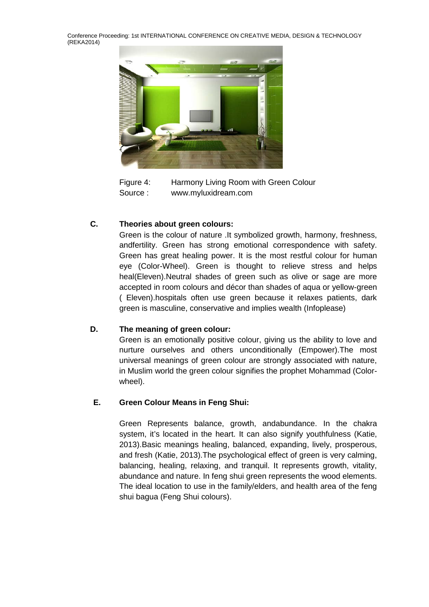

Figure 4: Harmony Living Room with Green Colour Source : www.myluxidream.com

## **C. Theories about green colours:**

Green is the colour of nature .It symbolized growth, harmony, freshness, andfertility. Green has strong emotional correspondence with safety. Green has great healing power. It is the most restful colour for human eye (Color-Wheel). Green is thought to relieve stress and helps heal(Eleven).Neutral shades of green such as olive or sage are more accepted in room colours and décor than shades of aqua or yellow-green ( Eleven).hospitals often use green because it relaxes patients, dark green is masculine, conservative and implies wealth (Infoplease)

## **D. The meaning of green colour:**

Green is an emotionally positive colour, giving us the ability to love and nurture ourselves and others unconditionally (Empower).The most universal meanings of green colour are strongly associated with nature, in Muslim world the green colour signifies the prophet Mohammad (Colorwheel).

## **E. Green Colour Means in Feng Shui:**

Green Represents balance, growth, andabundance. In the chakra system, it's located in the heart. It can also signify youthfulness (Katie, 2013).Basic meanings healing, balanced, expanding, lively, prosperous, and fresh (Katie, 2013).The psychological effect of green is very calming, balancing, healing, relaxing, and tranquil. It represents growth, vitality, abundance and nature. In feng shui green represents the wood elements. The ideal location to use in the family/elders, and health area of the feng shui bagua (Feng Shui colours).